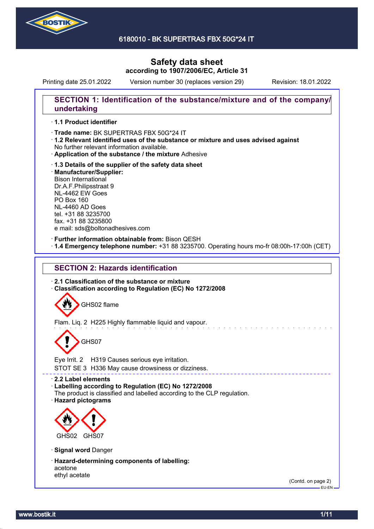

6180010 - BK SUPERTRAS FBX 50G\*24 IT

# **Safety data sheet according to 1907/2006/EC, Article 31**

Printing date 25.01.2022 Version number 30 (replaces version 29) Revision: 18.01.2022

### **SECTION 1: Identification of the substance/mixture and of the company/ undertaking**

### · **1.1 Product identifier**

· Trade name: BK SUPERTRAS FBX 50G\*24 IT

- · **1.2 Relevant identified uses of the substance or mixture and uses advised against** No further relevant information available.
- · **Application of the substance / the mixture** Adhesive
- · **1.3 Details of the supplier of the safety data sheet** · **Manufacturer/Supplier:** Bison International Dr.A.F.Philipsstraat 9 NL-4462 EW Goes PO Box 160 NL-4460 AD Goes tel. +31 88 3235700 fax. +31 88 3235800 e mail: sds@boltonadhesives.com

#### · **Further information obtainable from:** Bison QESH

· **1.4 Emergency telephone number:** +31 88 3235700. Operating hours mo-fr 08:00h-17:00h (CET)

### **SECTION 2: Hazards identification**

· **2.1 Classification of the substance or mixture** · **Classification according to Regulation (EC) No 1272/2008**

GHS02 flame

Flam. Liq. 2 H225 Highly flammable liquid and vapour.

# GHS07

Eye Irrit. 2 H319 Causes serious eye irritation.

STOT SE 3 H336 May cause drowsiness or dizziness.

· **2.2 Label elements**

#### · **Labelling according to Regulation (EC) No 1272/2008**

The product is classified and labelled according to the CLP regulation.

· **Hazard pictograms**



· **Signal word** Danger

· **Hazard-determining components of labelling:** acetone ethyl acetate

(Contd. on page 2) EU-EN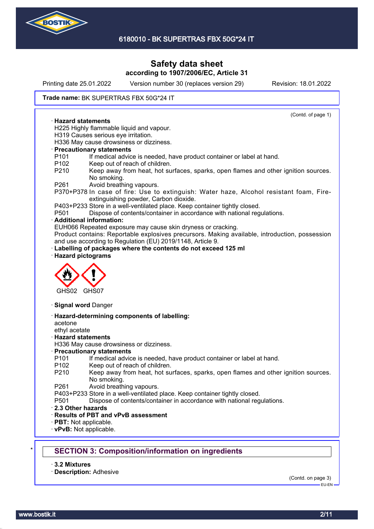

Printing date 25.01.2022 Version number 30 (replaces version 29) Revision: 18.01.2022

#### Trade name: BK SUPERTRAS FBX 50G\*24 IT

(Contd. of page 1) · **Hazard statements** H225 Highly flammable liquid and vapour. H319 Causes serious eye irritation. H336 May cause drowsiness or dizziness. · **Precautionary statements** P101 If medical advice is needed, have product container or label at hand. P102 Keep out of reach of children. P210 Keep away from heat, hot surfaces, sparks, open flames and other ignition sources. No smoking. P261 Avoid breathing vapours. P370+P378 In case of fire: Use to extinguish: Water haze, Alcohol resistant foam, Fireextinguishing powder, Carbon dioxide. P403+P233 Store in a well-ventilated place. Keep container tightly closed. P501 Dispose of contents/container in accordance with national regulations. · **Additional information:** EUH066 Repeated exposure may cause skin dryness or cracking. Product contains: Reportable explosives precursors. Making available, introduction, possession and use according to Regulation (EU) 2019/1148, Article 9. Labelling of packages where the contents do not exceed 125 ml · **Hazard pictograms** GHS02 GHS07 · **Signal word** Danger · **Hazard-determining components of labelling:** acetone ethyl acetate · **Hazard statements** H336 May cause drowsiness or dizziness. · **Precautionary statements** P101 If medical advice is needed, have product container or label at hand. P102 Keep out of reach of children. P210 Keep away from heat, hot surfaces, sparks, open flames and other ignition sources. No smoking. P261 Avoid breathing vapours. P403+P233 Store in a well-ventilated place. Keep container tightly closed. P501 Dispose of contents/container in accordance with national regulations. · **2.3 Other hazards** · **Results of PBT and vPvB assessment** · **PBT:** Not applicable. · **vPvB:** Not applicable. **SECTION 3: Composition/information on ingredients** 

· **3.2 Mixtures**

· **Description:** Adhesive

(Contd. on page 3)

EU-EN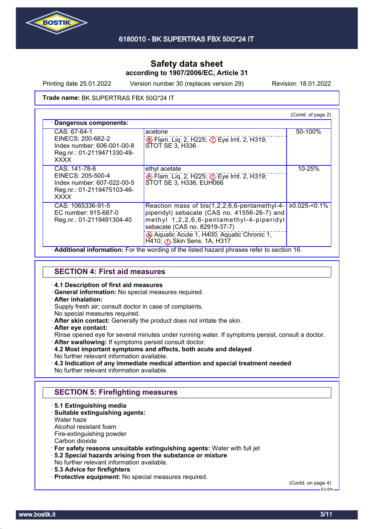

Printing date 25.01.2022 Version number 30 (replaces version 29) Revision: 18.01.2022

Trade name: BK SUPERTRAS FBX 50G\*24 IT

|                                                                                                               |                                                                                                                                                                                    | (Contd. of page 2) |
|---------------------------------------------------------------------------------------------------------------|------------------------------------------------------------------------------------------------------------------------------------------------------------------------------------|--------------------|
| Dangerous components:                                                                                         |                                                                                                                                                                                    |                    |
| CAS: 67-64-1<br>EINECS: 200-662-2<br>Index number: 606-001-00-8<br>Reg.nr.: 01-2119471330-49-<br><b>XXXX</b>  | acetone<br>Eye Irrit. 2, H319; Depe Irrit. 2, H319;<br>STOT SE 3, H336                                                                                                             | 50-100%            |
| CAS: 141-78-6<br>EINECS: 205-500-4<br>Index number: 607-022-00-5<br>Reg.nr.: 01-2119475103-46-<br><b>XXXX</b> | ethyl acetate<br>Eye Irrit. 2, H319; Department 2, H319;<br>STOT SE 3, H336, EUH066                                                                                                | 10-25%             |
| CAS: 1065336-91-5<br>EC number: 915-687-0<br>Reg.nr.: 01-2119491304-40                                        | Reaction mass of bis(1,2,2,6,6-pentamethyl-4-<br>piperidyl) sebacate (CAS no. 41556-26-7) and<br>methyl 1,2,2,6,6-pentamethyl-4-piperidyl<br>sebacate (CAS no. 82919-37-7)         | $≥0.025$ -<0.1%    |
|                                                                                                               | Aquatic Acute 1, H400; Aquatic Chronic 1,<br>$H$ 410; $\bigcirc$ Skin Sens. 1A, H317<br>. Additional information: Ear the wording of the listed bezard phrases refer to section 16 |                    |

· **Additional information:** For the wording of the listed hazard phrases refer to section 16.

### **SECTION 4: First aid measures**

#### · **4.1 Description of first aid measures**

· **General information:** No special measures required.

### · **After inhalation:**

Supply fresh air; consult doctor in case of complaints.

- No special measures required.
- · **After skin contact:** Generally the product does not irritate the skin.
- · **After eye contact:**

Rinse opened eye for several minutes under running water. If symptoms persist, consult a doctor.

- · **After swallowing:** If symptoms persist consult doctor.
- · **4.2 Most important symptoms and effects, both acute and delayed** No further relevant information available.
- · **4.3 Indication of any immediate medical attention and special treatment needed** No further relevant information available.

### **SECTION 5: Firefighting measures**

- · **5.1 Extinguishing media**
- · **Suitable extinguishing agents:**
- Water haze

Alcohol resistant foam

Fire-extinguishing powder

Carbon dioxide

· **For safety reasons unsuitable extinguishing agents:** Water with full jet

- · **5.2 Special hazards arising from the substance or mixture**
- No further relevant information available.
- · **5.3 Advice for firefighters**
- · **Protective equipment:** No special measures required.

(Contd. on page 4)

 $-$ FH-FN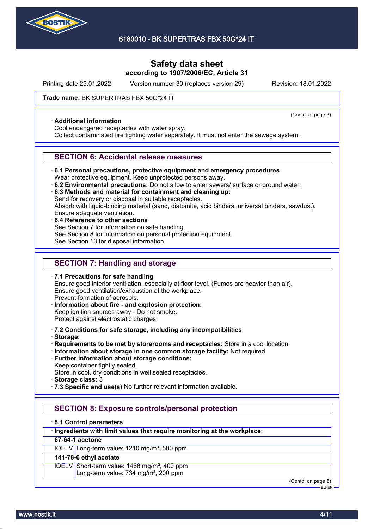

Printing date 25.01.2022 Version number 30 (replaces version 29) Revision: 18.01.2022

(Contd. of page 3)

#### Trade name: BK SUPERTRAS FBX 50G\*24 IT

#### · **Additional information**

Cool endangered receptacles with water spray.

Collect contaminated fire fighting water separately. It must not enter the sewage system.

### **SECTION 6: Accidental release measures**

· **6.1 Personal precautions, protective equipment and emergency procedures**

Wear protective equipment. Keep unprotected persons away.

· **6.2 Environmental precautions:** Do not allow to enter sewers/ surface or ground water.

· **6.3 Methods and material for containment and cleaning up:**

Send for recovery or disposal in suitable receptacles.

Absorb with liquid-binding material (sand, diatomite, acid binders, universal binders, sawdust). Ensure adequate ventilation.

- 
- · **6.4 Reference to other sections** See Section 7 for information on safe handling. See Section 8 for information on personal protection equipment. See Section 13 for disposal information.

# **SECTION 7: Handling and storage**

· **7.1 Precautions for safe handling** Ensure good interior ventilation, especially at floor level. (Fumes are heavier than air). Ensure good ventilation/exhaustion at the workplace. Prevent formation of aerosols. · **Information about fire - and explosion protection:**

- Keep ignition sources away Do not smoke. Protect against electrostatic charges.
- · **7.2 Conditions for safe storage, including any incompatibilities**
- · **Storage:**
- · **Requirements to be met by storerooms and receptacles:** Store in a cool location.
- · **Information about storage in one common storage facility:** Not required.
- · **Further information about storage conditions:** Keep container tightly sealed.

Store in cool, dry conditions in well sealed receptacles.

- · **Storage class:** 3
- · **7.3 Specific end use(s)** No further relevant information available.

# **SECTION 8: Exposure controls/personal protection**

### · **8.1 Control parameters**

### · **Ingredients with limit values that require monitoring at the workplace:**

### **67-64-1 acetone**

IOELV Long-term value: 1210 mg/m<sup>3</sup>, 500 ppm

# **141-78-6 ethyl acetate**

IOELV Short-term value: 1468 mg/m<sup>3</sup>, 400 ppm Long-term value: 734 mg/m<sup>3</sup>, 200 ppm

(Contd. on page 5)

EU-EN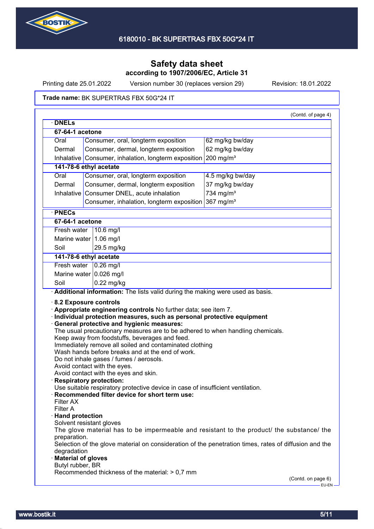

Printing date 25.01.2022 Version number 30 (replaces version 29) Revision: 18.01.2022

#### Trade name: BK SUPERTRAS FBX 50G\*24 IT

| <b>DNELS</b>                                                                                      |                                                                                                                                                                                                                                                                                                                                                                    |                       | (Contd. of page 4) |
|---------------------------------------------------------------------------------------------------|--------------------------------------------------------------------------------------------------------------------------------------------------------------------------------------------------------------------------------------------------------------------------------------------------------------------------------------------------------------------|-----------------------|--------------------|
| 67-64-1 acetone                                                                                   |                                                                                                                                                                                                                                                                                                                                                                    |                       |                    |
| Oral                                                                                              | Consumer, oral, longterm exposition                                                                                                                                                                                                                                                                                                                                | 62 mg/kg bw/day       |                    |
| Dermal                                                                                            | Consumer, dermal, longterm exposition                                                                                                                                                                                                                                                                                                                              | 62 mg/kg bw/day       |                    |
| Inhalative                                                                                        | Consumer, inhalation, longterm exposition                                                                                                                                                                                                                                                                                                                          | 200 mg/m <sup>3</sup> |                    |
|                                                                                                   | 141-78-6 ethyl acetate                                                                                                                                                                                                                                                                                                                                             |                       |                    |
| Oral                                                                                              | Consumer, oral, longterm exposition                                                                                                                                                                                                                                                                                                                                | 4.5 mg/kg bw/day      |                    |
| Dermal                                                                                            | Consumer, dermal, longterm exposition                                                                                                                                                                                                                                                                                                                              | 37 mg/kg bw/day       |                    |
| Inhalative                                                                                        | Consumer DNEL, acute inhalation                                                                                                                                                                                                                                                                                                                                    | 734 mg/m $3$          |                    |
|                                                                                                   | Consumer, inhalation, longterm exposition                                                                                                                                                                                                                                                                                                                          | 367 mg/ $m3$          |                    |
| · PNECs                                                                                           |                                                                                                                                                                                                                                                                                                                                                                    |                       |                    |
| 67-64-1 acetone                                                                                   |                                                                                                                                                                                                                                                                                                                                                                    |                       |                    |
| Fresh water                                                                                       | $10.6$ mg/l                                                                                                                                                                                                                                                                                                                                                        |                       |                    |
|                                                                                                   | Marine water 1.06 mg/l                                                                                                                                                                                                                                                                                                                                             |                       |                    |
| Soil                                                                                              | 29.5 mg/kg                                                                                                                                                                                                                                                                                                                                                         |                       |                    |
|                                                                                                   | 141-78-6 ethyl acetate                                                                                                                                                                                                                                                                                                                                             |                       |                    |
|                                                                                                   | Fresh water $\vert$ 0.26 mg/l                                                                                                                                                                                                                                                                                                                                      |                       |                    |
|                                                                                                   | Marine water $0.026$ mg/l                                                                                                                                                                                                                                                                                                                                          |                       |                    |
| Soil                                                                                              | $0.22$ mg/kg                                                                                                                                                                                                                                                                                                                                                       |                       |                    |
|                                                                                                   | Keep away from foodstuffs, beverages and feed.<br>Immediately remove all soiled and contaminated clothing<br>Wash hands before breaks and at the end of work.<br>Do not inhale gases / fumes / aerosols.<br>Avoid contact with the eyes.<br>Avoid contact with the eyes and skin.<br><b>Respiratory protection:</b>                                                |                       |                    |
| Filter AX<br>Filter A<br>· Hand protection<br>preparation.<br>degradation<br>· Material of gloves | Use suitable respiratory protective device in case of insufficient ventilation.<br>Recommended filter device for short term use:<br>Solvent resistant gloves<br>The glove material has to be impermeable and resistant to the product/ the substance/ the<br>Selection of the glove material on consideration of the penetration times, rates of diffusion and the |                       |                    |
| Butyl rubber, BR                                                                                  | Recommended thickness of the material: > 0,7 mm                                                                                                                                                                                                                                                                                                                    | (Contd. on page 6)    |                    |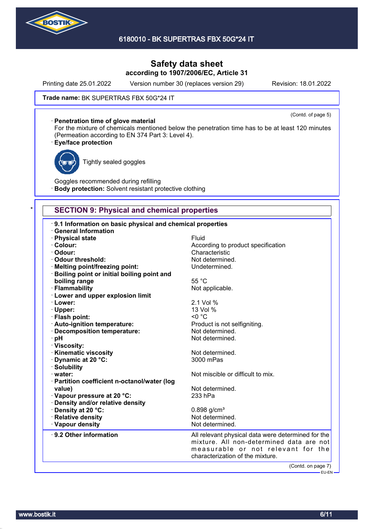

Printing date 25.01.2022 Version number 30 (replaces version 29) Revision: 18.01.2022

#### Trade name: BK SUPERTRAS FBX 50G\*24 IT

#### · **Penetration time of glove material**

(Contd. of page 5)

For the mixture of chemicals mentioned below the penetration time has to be at least 120 minutes (Permeation according to EN 374 Part 3: Level 4).

#### · **Eye/face protection**



Tightly sealed goggles

Goggles recommended during refilling **Body protection:** Solvent resistant protective clothing

### **SECTION 9: Physical and chemical properties**

| 9.1 Information on basic physical and chemical properties<br><b>General Information</b> |                                                    |
|-----------------------------------------------------------------------------------------|----------------------------------------------------|
| · Physical state                                                                        | Fluid                                              |
| · Colour:                                                                               | According to product specification                 |
| · Odour:                                                                                | Characteristic                                     |
| <b>Odour threshold:</b>                                                                 | Not determined.                                    |
| · Melting point/freezing point:                                                         | Undetermined.                                      |
| · Boiling point or initial boiling point and                                            |                                                    |
| boiling range                                                                           | 55 °C                                              |
| · Flammability                                                                          | Not applicable.                                    |
| · Lower and upper explosion limit                                                       |                                                    |
| · Lower:                                                                                | 2.1 Vol %                                          |
| · Upper:                                                                                | 13 Vol %                                           |
| · Flash point:                                                                          | $< 0$ °C                                           |
| · Auto-ignition temperature:                                                            | Product is not selfigniting.                       |
| · Decomposition temperature:                                                            | Not determined.                                    |
| · pH                                                                                    | Not determined.                                    |
| · Viscosity:                                                                            |                                                    |
| · Kinematic viscosity                                                                   | Not determined.                                    |
| Dynamic at 20 °C:                                                                       | 3000 mPas                                          |
| · Solubility                                                                            |                                                    |
| $\cdot$ water:                                                                          | Not miscible or difficult to mix.                  |
| · Partition coefficient n-octanol/water (log                                            |                                                    |
| value)                                                                                  | Not determined.                                    |
| Vapour pressure at 20 °C:                                                               | 233 hPa                                            |
| · Density and/or relative density                                                       |                                                    |
| Density at 20 °C:                                                                       | $0.898$ g/cm <sup>3</sup>                          |
| · Relative density                                                                      | Not determined.                                    |
| · Vapour density                                                                        | Not determined.                                    |
| ⋅ 9.2 Other information                                                                 | All relevant physical data were determined for the |
|                                                                                         | mixture. All non-determined data are not           |
|                                                                                         | measurable or not relevant for the                 |
|                                                                                         | characterization of the mixture.                   |
|                                                                                         | (Contd. on page 7)                                 |
|                                                                                         | ————— EU-EN —                                      |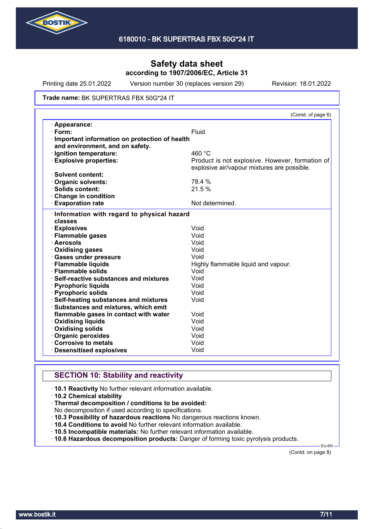

Printing date 25.01.2022 Version number 30 (replaces version 29) Revision: 18.01.2022

#### Trade name: BK SUPERTRAS FBX 50G\*24 IT

|                                               | (Contd. of page 6)                              |
|-----------------------------------------------|-------------------------------------------------|
| · Appearance:                                 |                                                 |
| $\cdot$ Form:                                 | Fluid                                           |
| Important information on protection of health |                                                 |
| and environment, and on safety.               |                                                 |
| · Ignition temperature:                       | 460 °C                                          |
| <b>Explosive properties:</b>                  | Product is not explosive. However, formation of |
|                                               | explosive air/vapour mixtures are possible.     |
| · Solvent content:                            |                                                 |
| <b>Organic solvents:</b>                      | 78.4 %                                          |
| $\cdot$ Solids content:                       | 21.5 %                                          |
| Change in condition                           |                                                 |
| <b>Evaporation rate</b>                       | Not determined.                                 |
| Information with regard to physical hazard    |                                                 |
| classes                                       |                                                 |
| · Explosives                                  | Void                                            |
| · Flammable gases                             | Void                                            |
| · Aerosols                                    | Void                                            |
| · Oxidising gases                             | Void                                            |
| · Gases under pressure                        | Void                                            |
| · Flammable liquids                           | Highly flammable liquid and vapour.             |
| · Flammable solids                            | Void                                            |
| Self-reactive substances and mixtures         | Void                                            |
| · Pyrophoric liquids                          | Void                                            |
| · Pyrophoric solids                           | Void                                            |
| · Self-heating substances and mixtures        | Void                                            |
| · Substances and mixtures, which emit         |                                                 |
| flammable gases in contact with water         | Void                                            |
| <b>Oxidising liquids</b>                      | Void                                            |
| Oxidising solids                              | Void                                            |
| Organic peroxides                             | Void                                            |
| Corrosive to metals                           | Void                                            |
| <b>Desensitised explosives</b>                | Void                                            |

# **SECTION 10: Stability and reactivity**

· **10.1 Reactivity** No further relevant information available.

- · **10.2 Chemical stability**
- · **Thermal decomposition / conditions to be avoided:**

No decomposition if used according to specifications.

- · **10.3 Possibility of hazardous reactions** No dangerous reactions known.
- · **10.4 Conditions to avoid** No further relevant information available.
- · **10.5 Incompatible materials:** No further relevant information available.
- · **10.6 Hazardous decomposition products:** Danger of forming toxic pyrolysis products.

(Contd. on page 8)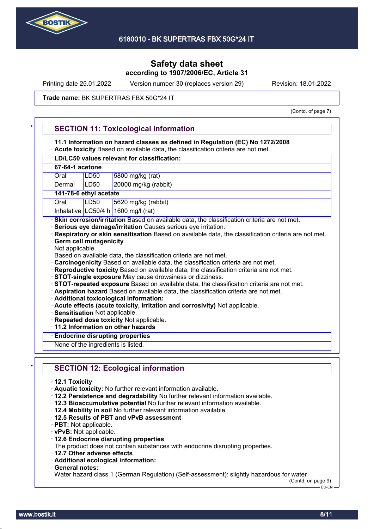

Printing date 25.01.2022 Version number 30 (replaces version 29) Revision: 18.01.2022

#### Trade name: BK SUPERTRAS FBX 50G\*24 IT

(Contd. of page 7)

|                       | 11.1 Information on hazard classes as defined in Regulation (EC) No 1272/2008<br>Acute toxicity Based on available data, the classification criteria are not met.                                                                                                                                                                                                                                                                                                                                                                                                                                                                                                                                                                                                                                                                                                                                                                                                                                                          |
|-----------------------|----------------------------------------------------------------------------------------------------------------------------------------------------------------------------------------------------------------------------------------------------------------------------------------------------------------------------------------------------------------------------------------------------------------------------------------------------------------------------------------------------------------------------------------------------------------------------------------------------------------------------------------------------------------------------------------------------------------------------------------------------------------------------------------------------------------------------------------------------------------------------------------------------------------------------------------------------------------------------------------------------------------------------|
|                       | · LD/LC50 values relevant for classification:                                                                                                                                                                                                                                                                                                                                                                                                                                                                                                                                                                                                                                                                                                                                                                                                                                                                                                                                                                              |
| 67-64-1 acetone       |                                                                                                                                                                                                                                                                                                                                                                                                                                                                                                                                                                                                                                                                                                                                                                                                                                                                                                                                                                                                                            |
| Oral                  | 5800 mg/kg (rat)<br>LD <sub>50</sub>                                                                                                                                                                                                                                                                                                                                                                                                                                                                                                                                                                                                                                                                                                                                                                                                                                                                                                                                                                                       |
| Dermal                | 20000 mg/kg (rabbit)<br>LD50                                                                                                                                                                                                                                                                                                                                                                                                                                                                                                                                                                                                                                                                                                                                                                                                                                                                                                                                                                                               |
|                       | 141-78-6 ethyl acetate                                                                                                                                                                                                                                                                                                                                                                                                                                                                                                                                                                                                                                                                                                                                                                                                                                                                                                                                                                                                     |
| Oral                  | LD50<br>5620 mg/kg (rabbit)                                                                                                                                                                                                                                                                                                                                                                                                                                                                                                                                                                                                                                                                                                                                                                                                                                                                                                                                                                                                |
|                       | Inhalative LC50/4 h 1600 mg/l (rat)                                                                                                                                                                                                                                                                                                                                                                                                                                                                                                                                                                                                                                                                                                                                                                                                                                                                                                                                                                                        |
| Not applicable.       | · Skin corrosion/irritation Based on available data, the classification criteria are not met.<br>· Serious eye damage/irritation Causes serious eye irritation.<br>Respiratory or skin sensitisation Based on available data, the classification criteria are not met.<br><b>Germ cell mutagenicity</b><br>Based on available data, the classification criteria are not met.<br>Carcinogenicity Based on available data, the classification criteria are not met.<br>Reproductive toxicity Based on available data, the classification criteria are not met.<br>· STOT-single exposure May cause drowsiness or dizziness.<br>· STOT-repeated exposure Based on available data, the classification criteria are not met.<br>· Aspiration hazard Based on available data, the classification criteria are not met.<br>· Additional toxicological information:<br>· Acute effects (acute toxicity, irritation and corrosivity) Not applicable.<br>· Sensitisation Not applicable.<br>· Repeated dose toxicity Not applicable. |
|                       | 11.2 Information on other hazards                                                                                                                                                                                                                                                                                                                                                                                                                                                                                                                                                                                                                                                                                                                                                                                                                                                                                                                                                                                          |
|                       | <b>Endocrine disrupting properties</b>                                                                                                                                                                                                                                                                                                                                                                                                                                                                                                                                                                                                                                                                                                                                                                                                                                                                                                                                                                                     |
|                       | None of the ingredients is listed.                                                                                                                                                                                                                                                                                                                                                                                                                                                                                                                                                                                                                                                                                                                                                                                                                                                                                                                                                                                         |
| $\cdot$ 12.1 Toxicity | <b>SECTION 12: Ecological information</b>                                                                                                                                                                                                                                                                                                                                                                                                                                                                                                                                                                                                                                                                                                                                                                                                                                                                                                                                                                                  |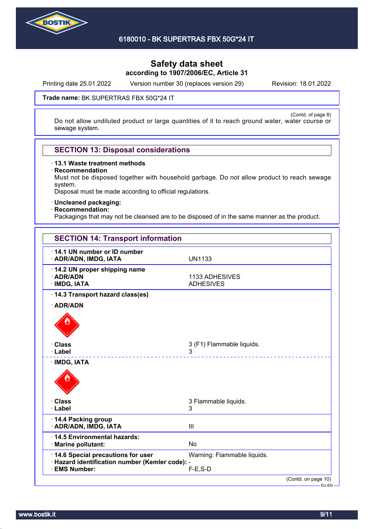

Printing date 25.01.2022 Version number 30 (replaces version 29) Revision: 18.01.2022

#### Trade name: BK SUPERTRAS FBX 50G\*24 IT

(Contd. of page 8) Do not allow undiluted product or large quantities of it to reach ground water, water course or sewage system.

### **SECTION 13: Disposal considerations**

· **13.1 Waste treatment methods**

· **Recommendation**

Must not be disposed together with household garbage. Do not allow product to reach sewage system.

Disposal must be made according to official regulations.

· **Uncleaned packaging:**

#### · **Recommendation:**

Packagings that may not be cleansed are to be disposed of in the same manner as the product.

| <b>SECTION 14: Transport information</b>                              |                                    |
|-----------------------------------------------------------------------|------------------------------------|
| 14.1 UN number or ID number<br>· ADR/ADN, IMDG, IATA                  | <b>UN1133</b>                      |
| 14.2 UN proper shipping name<br>· ADR/ADN<br>· IMDG, IATA             | 1133 ADHESIVES<br><b>ADHESIVES</b> |
| 14.3 Transport hazard class(es)                                       |                                    |
| · ADR/ADN                                                             |                                    |
|                                                                       |                                    |
| <b>· Class</b><br>· Label                                             | 3 (F1) Flammable liquids.<br>3     |
| · IMDG, IATA                                                          |                                    |
| · Class<br>· Label                                                    | 3 Flammable liquids.<br>3          |
| 14.4 Packing group<br>· ADR/ADN, IMDG, IATA                           | III                                |
| 14.5 Environmental hazards:<br>· Marine pollutant:                    | <b>No</b>                          |
| 14.6 Special precautions for user                                     | Warning: Flammable liquids.        |
| · Hazard identification number (Kemler code): -<br><b>EMS Number:</b> | $F-E$ , S-D                        |
|                                                                       | (Contd. on page 10)                |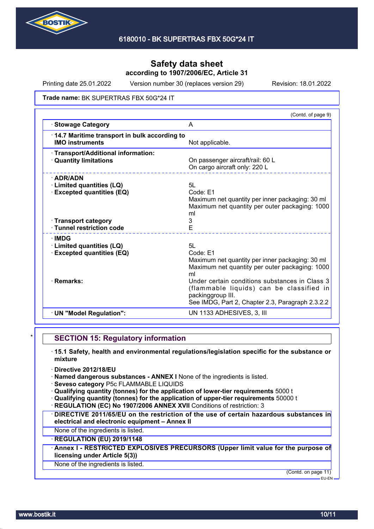

Printing date 25.01.2022 Version number 30 (replaces version 29) Revision: 18.01.2022

#### Trade name: BK SUPERTRAS FBX 50G\*24 IT

|                                                                                                         | (Contd. of page 9)                                                                                                                                                  |
|---------------------------------------------------------------------------------------------------------|---------------------------------------------------------------------------------------------------------------------------------------------------------------------|
| <b>Stowage Category</b>                                                                                 | A                                                                                                                                                                   |
| 14.7 Maritime transport in bulk according to<br><b>IMO instruments</b>                                  | Not applicable.                                                                                                                                                     |
| · Transport/Additional information:<br><b>Quantity limitations</b>                                      | On passenger aircraft/rail: 60 L<br>On cargo aircraft only: 220 L                                                                                                   |
| $\cdot$ ADR/ADN<br>· Limited quantities (LQ)<br><b>Excepted quantities (EQ)</b><br>· Transport category | 5L<br>Code: E1<br>Maximum net quantity per inner packaging: 30 ml<br>Maximum net quantity per outer packaging: 1000<br>ml<br>3                                      |
| · Tunnel restriction code                                                                               | E                                                                                                                                                                   |
| · IMDG<br><b>Limited quantities (LQ)</b><br><b>Excepted quantities (EQ)</b>                             | 5L<br>Code: F1<br>Maximum net quantity per inner packaging: 30 ml<br>Maximum net quantity per outer packaging: 1000<br>ml                                           |
| · Remarks:                                                                                              | Under certain conditions substances in Class 3<br>(flammable liquids) can be classified in<br>packinggroup III.<br>See IMDG, Part 2, Chapter 2.3, Paragraph 2.3.2.2 |
| · UN "Model Regulation":                                                                                | UN 1133 ADHESIVES, 3, III                                                                                                                                           |
|                                                                                                         |                                                                                                                                                                     |

### **SECTION 15: Regulatory information**

- · **15.1 Safety, health and environmental regulations/legislation specific for the substance or mixture**
- · **Directive 2012/18/EU**
- · **Named dangerous substances ANNEX I** None of the ingredients is listed.
- · **Seveso category** P5c FLAMMABLE LIQUIDS
- · **Qualifying quantity (tonnes) for the application of lower-tier requirements** 5000 t
- · **Qualifying quantity (tonnes) for the application of upper-tier requirements** 50000 t
- **REGULATION (EC) No 1907/2006 ANNEX XVII Conditions of restriction: 3**
- · **DIRECTIVE 2011/65/EU on the restriction of the use of certain hazardous substances in electrical and electronic equipment – Annex II**
- None of the ingredients is listed.

### · **REGULATION (EU) 2019/1148**

· **Annex I - RESTRICTED EXPLOSIVES PRECURSORS (Upper limit value for the purpose of licensing under Article 5(3))**

### None of the ingredients is listed.

(Contd. on page 11)